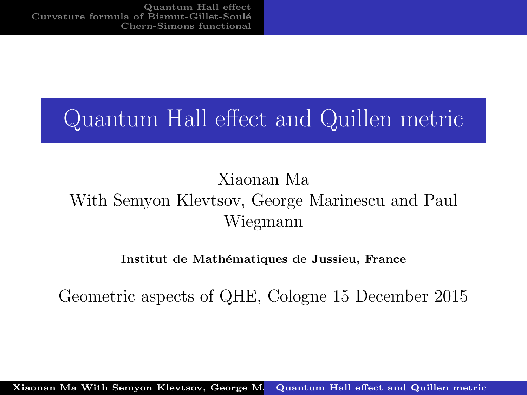# <span id="page-0-0"></span>Quantum Hall effect and Quillen metric

#### Xiaonan Ma With Semyon Klevtsov, George Marinescu and Paul Wiegmann

#### Institut de Mathématiques de Jussieu, France

Geometric aspects of QHE, Cologne 15 December 2015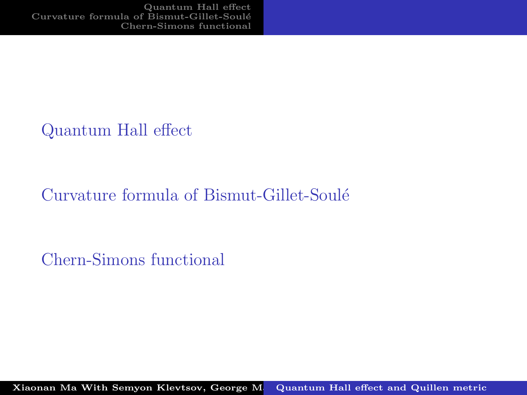[Quantum Hall effect](#page-2-0)

#### Curvature formula of Bismut-Gillet-Soulé

[Chern-Simons functional](#page-15-0)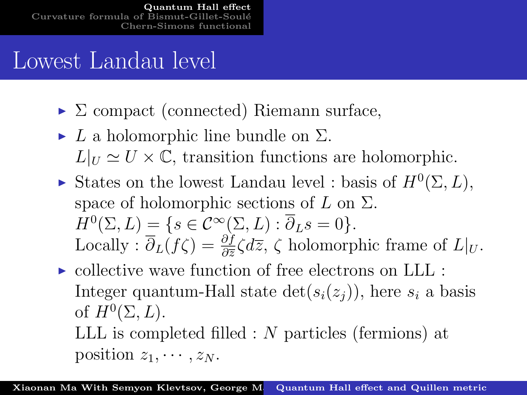# <span id="page-2-0"></span>Lowest Landau level

- $\triangleright$   $\Sigma$  compact (connected) Riemann surface,
- $\blacktriangleright$  L a holomorphic line bundle on  $\Sigma$ .  $L|_U \simeq U \times \mathbb{C}$ , transition functions are holomorphic.
- States on the lowest Landau level : basis of  $H^0(\Sigma, L)$ , space of holomorphic sections of  $L$  on  $\Sigma$ .  $H^0(\Sigma, L) = \{s \in C^\infty(\Sigma, L) : \overline{\partial}_L s = 0\}.$ Locally :  $\overline{\partial}_L(f\zeta) = \frac{\partial f}{\partial \overline{z}} \zeta d\overline{z}$ ,  $\zeta$  holomorphic frame of  $L|_U$ .
- $\triangleright$  collective wave function of free electrons on LLL : Integer quantum-Hall state  $\det(s_i(z_i))$ , here  $s_i$  a basis of  $H^0(\Sigma, L)$ . LLL is completed filled : N particles (fermions) at

position  $z_1, \cdots, z_N$ .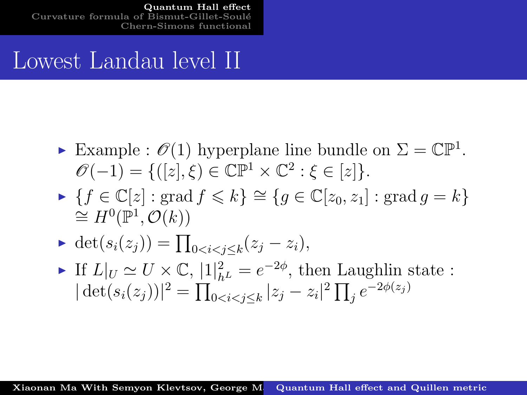[Quantum Hall effect](#page-2-0) Curvature formula of Bismut-Gillet-Soulé [Chern-Simons functional](#page-15-0)

#### Lowest Landau level II

- Example :  $\mathscr{O}(1)$  hyperplane line bundle on  $\Sigma = \mathbb{CP}^1$ .  $\mathscr{O}(-1) = \{([z], \xi) \in \mathbb{CP}^1 \times \mathbb{C}^2 : \xi \in [z] \}.$
- $\blacktriangleright$  {f ∈  $\mathbb{C}[z]$  : grad  $f \le k$ }  $\cong$  { $q \in \mathbb{C}[z_0, z_1]$  : grad  $q = k$ }  $\cong H^0(\mathbb{P}^1,\mathcal{O}(k))$
- ► det $(s_i(z_j)) = \prod_{0 \le i \le j \le k} (z_j z_i),$
- ► If  $L|_U \simeq U \times \mathbb{C}$ ,  $|1|^2_{h^L} = e^{-2\phi}$ , then Laughlin state :  $|\det(s_i(z_j))|^2 = \prod_{0 \le i \le j \le k} |z_j - z_i|^2 \prod_j e^{-2\phi(z_j)}$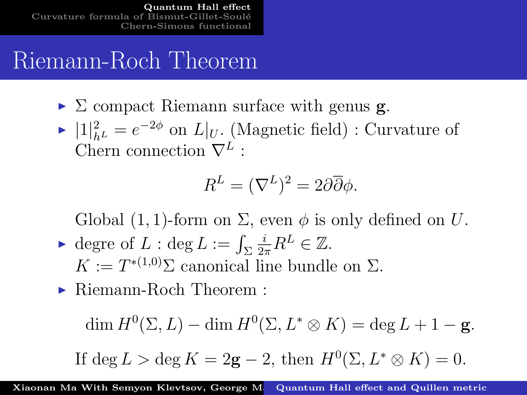[Quantum Hall effect](#page-2-0) Curvature formula of Bismut-Gil [Chern-Simons functional](#page-15-0)

#### Riemann-Roch Theorem

- $\triangleright$   $\Sigma$  compact Riemann surface with genus **g**.
- ►  $|1|_{h^L}^2 = e^{-2\phi}$  on  $L|_U$ . (Magnetic field) : Curvature of Chern connection  $\nabla^L$ :

$$
R^L = (\nabla^L)^2 = 2\partial\overline{\partial}\phi.
$$

Global (1, 1)-form on  $\Sigma$ , even  $\phi$  is only defined on U.

- $\blacktriangleright$  degre of  $L : \text{deg } L := \int_{\Sigma}$  $\frac{i}{2\pi}R^L \in \mathbb{Z}$ .  $K := T^{*(1,0)}\Sigma$  canonical line bundle on  $\Sigma$ .
- $\blacktriangleright$  Riemann-Roch Theorem :

$$
\dim H^0(\Sigma, L) - \dim H^0(\Sigma, L^* \otimes K) = \deg L + 1 - \mathbf{g}.
$$

If 
$$
\deg L > \deg K = 2g - 2
$$
, then  $H^0(\Sigma, L^* \otimes K) = 0$ .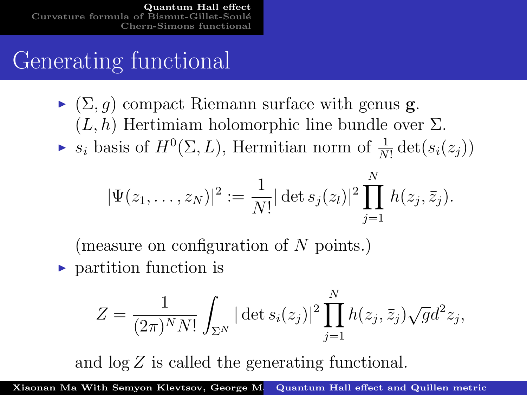## Generating functional

 $\blacktriangleright$  ( $\Sigma$ , q) compact Riemann surface with genus **g**.  $(L, h)$  Hertimiam holomorphic line bundle over  $\Sigma$ .  $\blacktriangleright$   $s_i$  basis of  $H^0(\Sigma, L)$ , Hermitian norm of  $\frac{1}{N!} \det(s_i(z_j))$ 

$$
|\Psi(z_1,\ldots,z_N)|^2 := \frac{1}{N!} |\det s_j(z_l)|^2 \prod_{j=1}^N h(z_j,\bar{z}_j).
$$

(measure on configuration of  $N$  points.)

 $\blacktriangleright$  partition function is

$$
Z = \frac{1}{(2\pi)^N N!} \int_{\Sigma^N} |\det s_i(z_j)|^2 \prod_{j=1}^N h(z_j, \bar{z}_j) \sqrt{g} d^2 z_j,
$$

and log Z is called the generating functional.

Xiaonan Ma With Semyon Klevtsov, George M. [Quantum Hall effect and Quillen metric](#page-0-0)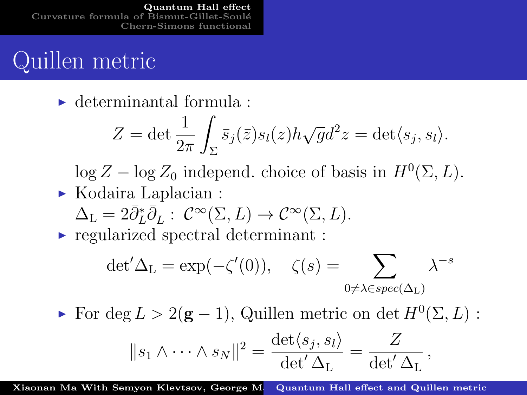[Quantum Hall effect](#page-2-0) Curvature formula of Bismut-Gillet-[Chern-Simons functional](#page-15-0)

#### Quillen metric

 $\blacktriangleright$  determinantal formula :

$$
Z = \det \frac{1}{2\pi} \int_{\Sigma} \bar{s}_j(\bar{z}) s_l(z) h \sqrt{g} d^2 z = \det \langle s_j, s_l \rangle.
$$

 $\log Z - \log Z_0$  independ. choice of basis in  $H^0(\Sigma, L)$ .  $\triangleright$  Kodaira Laplacian :

$$
\Delta_{\mathcal{L}} = 2\overline{\partial}_{\mathcal{L}}^*\overline{\partial}_{\mathcal{L}} : \mathcal{C}^{\infty}(\Sigma, L) \to \mathcal{C}^{\infty}(\Sigma, L).
$$

 $\triangleright$  regularized spectral determinant :

$$
\det' \Delta_{\mathcal{L}} = \exp(-\zeta'(0)), \quad \zeta(s) = \sum_{0 \neq \lambda \in spec(\Delta_{\mathcal{L}})} \lambda^{-s}
$$

For deg  $L > 2(g - 1)$ , Quillen metric on det  $H^0(\Sigma, L)$ :

$$
||s_1 \wedge \cdots \wedge s_N||^2 = \frac{\det \langle s_j, s_l \rangle}{\det' \Delta_{\mathcal{L}}} = \frac{Z}{\det' \Delta_{\mathcal{L}}},
$$

Xiaonan Ma With Semyon Klevtsov, George M. [Quantum Hall effect and Quillen metric](#page-0-0)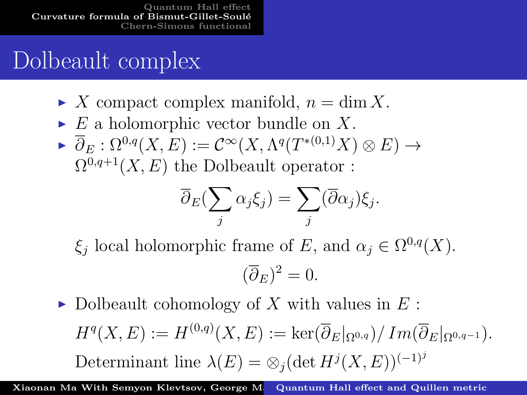# <span id="page-7-0"></span>Dolbeault complex

- $\blacktriangleright$  X compact complex manifold,  $n = \dim X$ .
- $\triangleright$  E a holomorphic vector bundle on X.
- $\blacktriangleright \ \overline{\partial}_E : \Omega^{0,q}(X,E) := \mathcal{C}^\infty(X,\Lambda^q(T^{*(0,1)}X)\otimes E) \to$  $\Omega^{0,q+1}(X, E)$  the Dolbeault operator :

$$
\overline{\partial}_E(\sum_j \alpha_j \xi_j) = \sum_j (\overline{\partial} \alpha_j) \xi_j.
$$

 $\xi_j$  local holomorphic frame of E, and  $\alpha_j \in \Omega^{0,q}(X)$ .

$$
(\overline{\partial}_E)^2 = 0.
$$

Dolbeault cohomology of X with values in  $E$ :  $H^q(X, E) := H^{(0,q)}(X, E) := \ker( \overline{\partial}_E|_{\Omega^{0,q}}) / \operatorname{Im}(\overline{\partial}_E|_{\Omega^{0,q-1}}).$ Determinant line  $\lambda(E) = \otimes_j (\det H^j(X, E))^{(-1)^j}$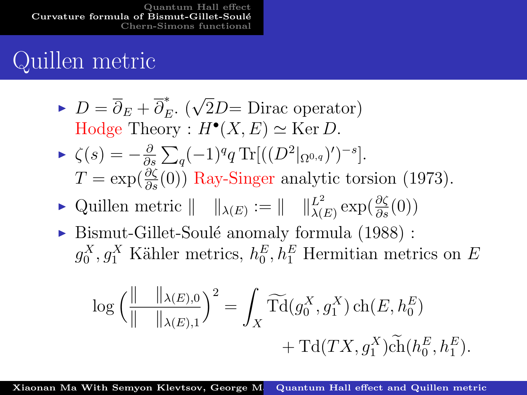[Quantum Hall effect](#page-2-0) [Curvature formula of Bismut-Gillet-Soul´e](#page-7-0) [Chern-Simons functional](#page-15-0)

### Quillen metric

\n- $$
D = \overline{\partial}_E + \overline{\partial}_E^*
$$
. ( $\sqrt{2}D = \text{Dirac operator}$ ) Hodge Theory :  $H^{\bullet}(X, E) \simeq \text{Ker } D$ .
\n- $\zeta(s) = -\frac{\partial}{\partial s} \sum_q (-1)^q q \text{Tr}[(\left(D^2|_{\Omega^{0,q}})' \right)^{-s}].$   $T = \exp(\frac{\partial \zeta}{\partial s}(0))$  Ray-Singer analytic torsion (1973).
\n

- ► Quillen metric  $|| \t ||_{\lambda(E)} := || \t ||_{\lambda(E)}^{L^2} \exp(\frac{\partial \zeta}{\partial s}(0))$
- $\triangleright$  Bismut-Gillet-Soulé anomaly formula (1988) :  $g_0^X, g_1^X$  Kähler metrics,  $h_0^E, h_1^E$  Hermitian metrics on E

$$
\log \left( \frac{\| \quad \|_{\lambda(E),0}}{\| \quad \|_{\lambda(E),1}} \right)^2 = \int_X \widetilde{\mathrm{Td}}(g_0^X, g_1^X) \mathrm{ch}(E, h_0^E) + \mathrm{Td}(TX, g_1^X) \widetilde{\mathrm{ch}}(h_0^E, h_1^E).
$$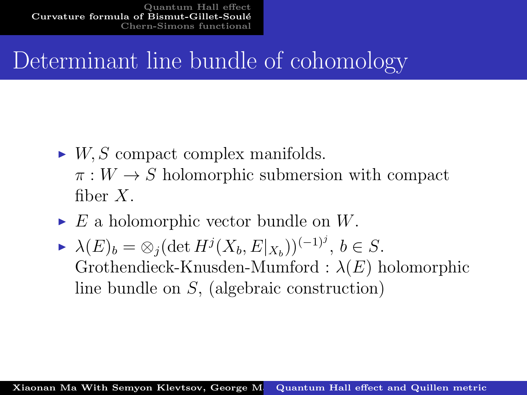[Quantum Hall effect](#page-2-0) [Curvature formula of Bismut-Gillet-Soul´e](#page-7-0) Chern-Simons function

# Determinant line bundle of cohomology

- $\blacktriangleright$  W, S compact complex manifolds.  $\pi: W \to S$  holomorphic submersion with compact fiber X.
- $\triangleright E$  a holomorphic vector bundle on W.
- $\blacktriangleright \lambda(E)_b = \otimes_j (\det H^j(X_b, E|_{X_b}))^{(-1)^j}, b \in S.$ Grothendieck-Knusden-Mumford :  $\lambda(E)$  holomorphic line bundle on S, (algebraic construction)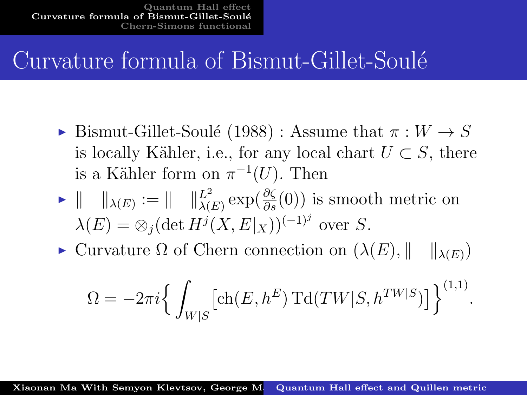### Curvature formula of Bismut-Gillet-Soulé

- ► Bismut-Gillet-Soulé (1988) : Assume that  $π : W \rightarrow S$ is locally Kähler, i.e., for any local chart  $U \subset S$ , there is a Kähler form on  $\pi^{-1}(U)$ . Then
- $\blacktriangleright \parallel \ \ \parallel_{\lambda(E)} := \parallel \ \ \parallel_{\lambda(E)}^{L^2} \exp(\frac{\partial \zeta}{\partial s}(0))$  is smooth metric on  $\lambda(E) = \otimes_j (\det H^j(X, E|_X))^{(-1)^j}$  over S.
- $\triangleright$  Curvature Ω of Chern connection on  $(\lambda(E), \|\ \|_{\lambda(E)})$

$$
\Omega = -2\pi i \left\{ \int_{W|S} \left[ \text{ch}(E, h^E) \operatorname{Td}(TW|S, h^{TW|S}) \right] \right\}^{(1,1)}.
$$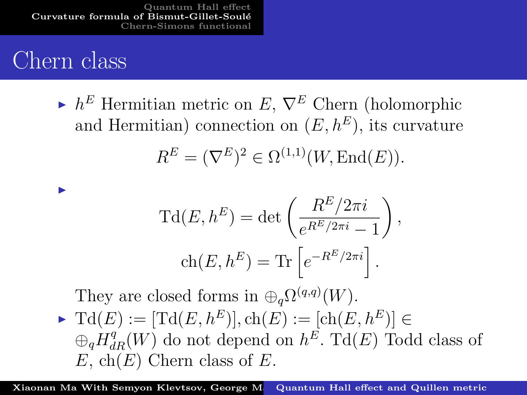[Quantum Hall effect](#page-2-0) [Curvature formula of Bismut-Gillet-Soul´e](#page-7-0) [Chern-Simons functional](#page-15-0)

#### Chern class

I

 $\blacktriangleright$  h<sup>E</sup> Hermitian metric on E,  $\nabla^E$  Chern (holomorphic and Hermitian) connection on  $(E, h^E)$ , its curvature  $R^{E} = (\nabla^{E})^{2} \in \Omega^{(1,1)}(W, \text{End}(E)).$ 

$$
\mathrm{Td}(E, h^E) = \det \left( \frac{R^E / 2\pi i}{e^{R^E / 2\pi i} - 1} \right),
$$
  
 
$$
\mathrm{ch}(E, h^E) = \mathrm{Tr} \left[ e^{-R^E / 2\pi i} \right].
$$

They are closed forms in  $\bigoplus_{q} \Omega^{(q,q)}(W)$ .  $\blacktriangleright$  Td(E) :=  $[\text{Td}(E, h^E)]$ , ch(E) :=  $[\text{ch}(E, h^E)] \in$  $\oplus_q H_{dR}^q(W)$  do not depend on  $h^E$ . Td $(E)$  Todd class of  $E$ , ch(E) Chern class of E.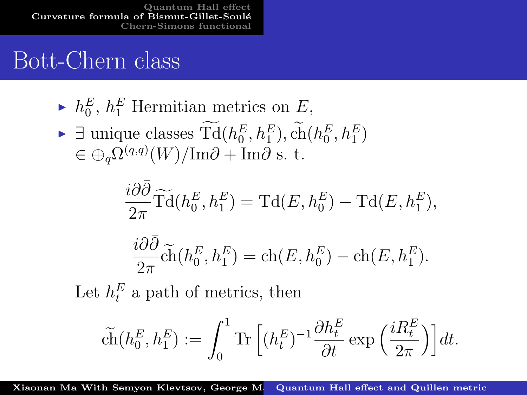[Quantum Hall effect](#page-2-0) Curvature formula of Bismut-Gillet-Soulé [Chern-Simons functional](#page-15-0)

#### Bott-Chern class

- $\blacktriangleright$   $h_0^E$ ,  $h_1^E$  Hermitian metrics on E,
- ►  $\exists$  unique classes  $\mathrm{Td}(h_0^E, h_1^E)$ , ch $(h_0^E, h_1^E)$  $\in \bigoplus_{q} \Omega^{(q,q)}(W)/\mathrm{Im}\partial + \mathrm{Im}\bar{\partial}$  s. t.

$$
\frac{i\partial\bar{\partial}}{2\pi}\widetilde{\mathrm{Td}}(h_0^E, h_1^E) = \mathrm{Td}(E, h_0^E) - \mathrm{Td}(E, h_1^E),
$$

$$
\frac{i\partial\bar\partial}{2\pi} \tilde{\text{ch}}(h^E_0,h^E_1)=\text{ch}(E,h^E_0)-\text{ch}(E,h^E_1).
$$

Let  $h_t^E$  a path of metrics, then

$$
\tilde{\text{ch}}(h^E_0,h^E_1):=\int_0^1\text{Tr}\,\Big[(h^E_t)^{-1}\frac{\partial h^E_t}{\partial t}\exp\Big(\frac{iR^E_t}{2\pi}\Big)\Big]dt.
$$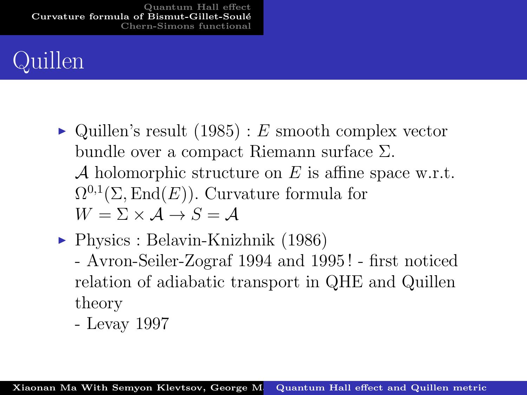# ıillen

- $\triangleright$  Quillen's result (1985) : E smooth complex vector bundle over a compact Riemann surface Σ. A holomorphic structure on  $E$  is affine space w.r.t.  $\Omega^{0,1}(\Sigma,\text{End}(E)).$  Curvature formula for  $W = \Sigma \times A \rightarrow S = A$
- $\blacktriangleright$  Physics : Belavin-Knizhnik (1986)
	- Avron-Seiler-Zograf 1994 and 1995 ! first noticed relation of adiabatic transport in QHE and Quillen theory
	- Levay 1997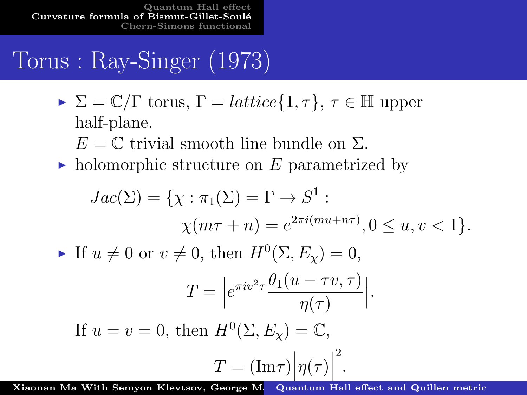[Quantum Hall effect](#page-2-0) [Curvature formula of Bismut-Gillet-Soul´e](#page-7-0) [Chern-Simons functional](#page-15-0)

# Torus : Ray-Singer (1973)

- $\triangleright \Sigma = \mathbb{C}/\Gamma$  torus,  $\Gamma = lattice\{1, \tau\}, \tau \in \mathbb{H}$  upper half-plane.
	- $E = \mathbb{C}$  trivial smooth line bundle on  $\Sigma$ .
- ightharpoontenance holomorphic structure on E parametrized by

$$
Jac(\Sigma) = \{ \chi : \pi_1(\Sigma) = \Gamma \to S^1 :
$$
  
\n
$$
\chi(m\tau + n) = e^{2\pi i (mu + n\tau)}, 0 \le u, v < 1 \}.
$$
  
\n• If  $u \ne 0$  or  $v \ne 0$ , then  $H^0(\Sigma, E_\chi) = 0$ ,  
\n
$$
T = \left| e^{\pi i v^2 \tau} \frac{\theta_1(u - \tau v, \tau)}{\eta(\tau)} \right|.
$$
  
\nIf  $u = v = 0$ , then  $H^0(\Sigma, E_\chi) = \mathbb{C}$ ,  
\n
$$
T = (\text{Im}\tau) \left| \eta(\tau) \right|^2.
$$

Xiaonan Ma With Semyon Klevtsov, George M.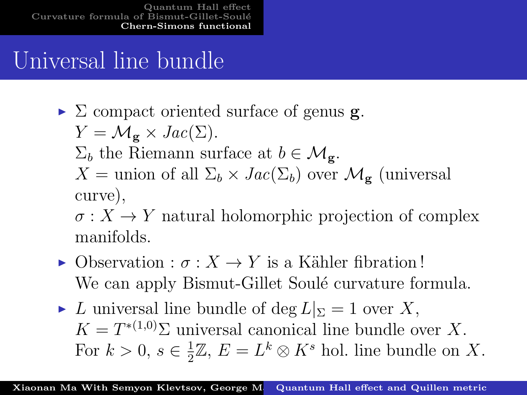# <span id="page-15-0"></span>Universal line bundle

 $\triangleright$   $\Sigma$  compact oriented surface of genus **g**.

$$
Y = \mathcal{M}_{\mathbf{g}} \times \text{Jac}(\Sigma).
$$

- $\Sigma_b$  the Riemann surface at  $b \in \mathcal{M}_{\sigma}$ .
- $X =$  union of all  $\Sigma_b \times Jac(\Sigma_b)$  over  $\mathcal{M}_{g}$  (universal curve),

 $\sigma: X \to Y$  natural holomorphic projection of complex manifolds.

- $\triangleright$  Observation :  $\sigma$  :  $X \to Y$  is a Kähler fibration! We can apply Bismut-Gillet Soulé curvature formula.
- If L universal line bundle of deg  $L|_{\Sigma} = 1$  over X,  $K = T^{*(1,0)}\Sigma$  universal canonical line bundle over X. For  $k > 0, s \in \frac{1}{2}$  $\frac{1}{2}\mathbb{Z}, E = L^k \otimes K^s$  hol. line bundle on X.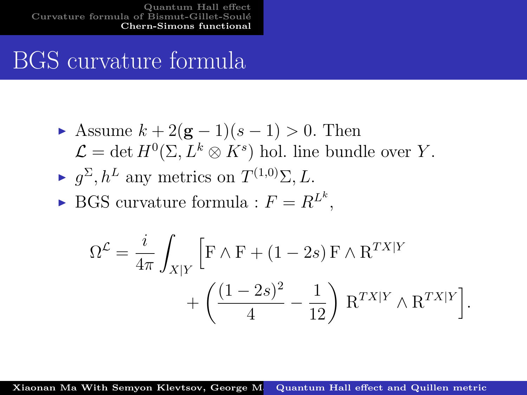[Quantum Hall effect](#page-2-0) Curvature formula of Bismut-Gillet-Soult-Soult-Soulter-Soulter-Soulter-Soulter-Soulter-Soulter-Soulter-Soulter-[Chern-Simons functional](#page-15-0)

## BGS curvature formula

- Assume  $k + 2(g 1)(s 1) > 0$ . Then  $\mathcal{L} = \det H^0(\Sigma, L^k \otimes K^s)$  hol. line bundle over Y.
- $\blacktriangleright$   $g^{\Sigma}, h^{L}$  any metrics on  $T^{(1,0)}\Sigma, L$ .
- $\blacktriangleright$  BGS curvature formula :  $F = R^{L^k}$ ,

$$
\begin{split} \Omega^{\mathcal{L}} &= \frac{i}{4\pi} \int_{X|Y} \Big[ \mathbf{F} \wedge \mathbf{F} + (1-2s) \, \mathbf{F} \wedge \mathbf{R}^{TX|Y} \\ & \quad + \left( \frac{(1-2s)^2}{4} - \frac{1}{12} \right) \, \mathbf{R}^{TX|Y} \wedge \mathbf{R}^{TX|Y} \Big]. \end{split}
$$